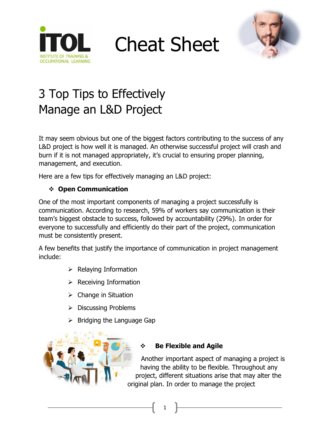

Cheat Sheet



## 3 Top Tips to Effectively Manage an L&D Project

It may seem obvious but one of the biggest factors contributing to the success of any L&D project is how well it is managed. An otherwise successful project will crash and burn if it is not managed appropriately, it's crucial to ensuring proper planning, management, and execution.

Here are a few tips for effectively managing an L&D project:

### ❖ **Open Communication**

One of the most important components of managing a project successfully is communication. According to research, 59% of workers say communication is their team's biggest obstacle to success, followed by accountability (29%). In order for everyone to successfully and efficiently do their part of the project, communication must be consistently present.

A few benefits that justify the importance of communication in project management include:

- $\triangleright$  Relaying Information
- $\triangleright$  Receiving Information
- ➢ Change in Situation
- ➢ Discussing Problems
- ➢ Bridging the Language Gap



### ❖ **Be Flexible and Agile**

1

Another important aspect of managing a project is having the ability to be flexible. Throughout any project, different situations arise that may alter the original plan. In order to manage the project